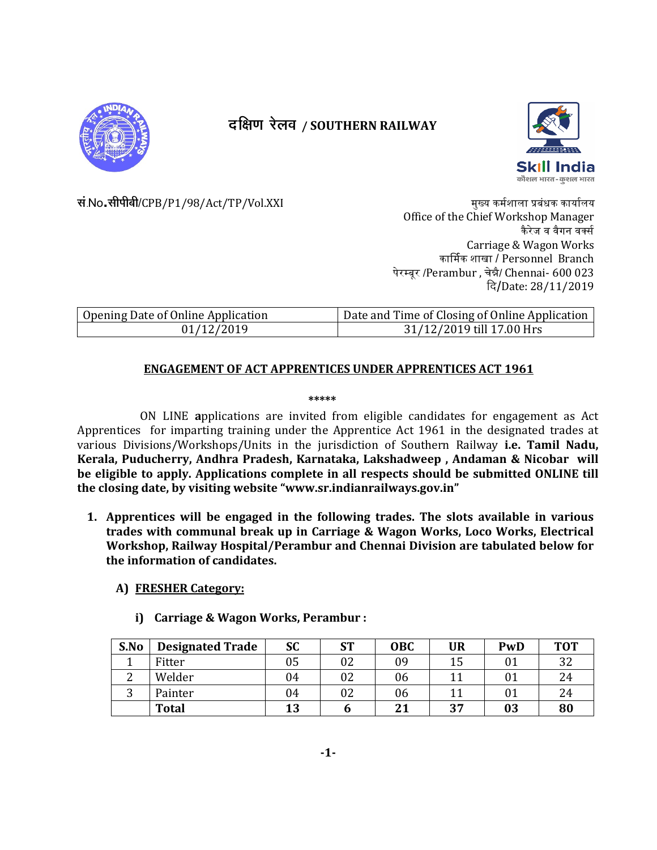

# दक्षिण रेलव / SOUTHERN RAILWAY



सं No.सीपीबी/CPB/P1/98/Act/TP/Vol.XXI

मुख्य कर्मशाला प्रबंधक कार्यालय Office of the Chief Workshop Manager कैरेज व वैगन वर्क्स Carriage & Wagon Works कार्मिक शाखा / Personnel Branch पेरम्बूर /Perambur , चेन्नै/ Chennai- 600 023 दि/Date: 28/11/2019

| Opening Date of Online Application | Date and Time of Closing of Online Application |
|------------------------------------|------------------------------------------------|
| 01/12/2019                         | 31/12/2019 till 17.00 Hrs                      |

## **ENGAGEMENT OF ACT APPRENTICES UNDER APPRENTICES ACT 1961**

#### \*\*\*\*\*

ON LINE applications are invited from eligible candidates for engagement as Act Apprentices for imparting training under the Apprentice Act 1961 in the designated trades at various Divisions/Workshops/Units in the jurisdiction of Southern Railway i.e. Tamil Nadu, Kerala, Puducherry, Andhra Pradesh, Karnataka, Lakshadweep, Andaman & Nicobar will be eligible to apply. Applications complete in all respects should be submitted ONLINE till the closing date, by visiting website "www.sr.indianrailways.gov.in"

1. Apprentices will be engaged in the following trades. The slots available in various trades with communal break up in Carriage & Wagon Works, Loco Works, Electrical Workshop, Railway Hospital/Perambur and Chennai Division are tabulated below for the information of candidates.

#### A) FRESHER Category:

i) Carriage & Wagon Works, Perambur :

| S.No       | <b>Designated Trade</b> | SC | <b>ST</b> | <b>OBC</b> | <b>UR</b> | PwD | <b>TOT</b> |
|------------|-------------------------|----|-----------|------------|-----------|-----|------------|
|            | Fitter                  | 05 | 02        | 09         | 15        |     | 32         |
| $\sqrt{2}$ | Welder                  | 04 | 02        | 06         |           |     | 24         |
| ⌒<br>ັ     | Painter                 | 04 | 02        | 06         |           |     | 24         |
|            | <b>Total</b>            | 13 |           | <b>01</b>  | 37        | 03  | 80         |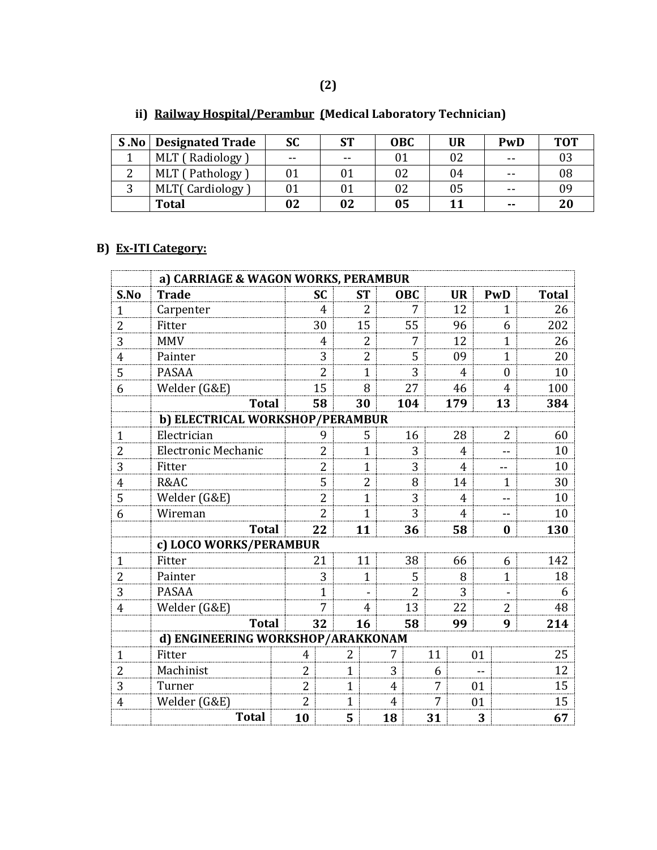| <b>S.No</b> Designated Trade | SC    | ст    | <b>OBC</b> | <b>UR</b> | PwD           | <b>TOT</b> |
|------------------------------|-------|-------|------------|-----------|---------------|------------|
| MLT (Radiology               | $- -$ | $- -$ | Λ1         | 02        | $- -$         | 03         |
| MLT (Pathology               |       | 01    | 02         | 04        | $- -$         | 08         |
| MLT(Cardiology               |       | 01    |            | 05        | $- -$         | 09         |
| <b>Total</b>                 | 02    | 02    | 05         |           | $\sim$ $\sim$ | 20         |

# **ii) Railway Hospital/Perambur (Medical Laboratory Technician)**

## **B) Ex-ITI Category:**

|                | a) CARRIAGE & WAGON WORKS, PERAMBUR |                |                |              |                |                |                |    |                |    |              |              |
|----------------|-------------------------------------|----------------|----------------|--------------|----------------|----------------|----------------|----|----------------|----|--------------|--------------|
| S.No           | <b>Trade</b>                        |                | <b>SC</b>      |              | <b>ST</b>      |                | <b>OBC</b>     |    | <b>UR</b>      |    | PwD          | <b>Total</b> |
| 1              | Carpenter                           |                | 4              |              | $\overline{2}$ |                | 7              |    | 12             |    | $\mathbf{1}$ | 26           |
| $\overline{c}$ | Fitter                              |                | 30             |              | 15             |                | 55             |    | 96             |    | 6            | 202          |
| 3              | <b>MMV</b>                          |                | 4              |              | 2              |                | 7              |    | 12             |    | 1            | 26           |
| 4              | Painter                             |                | 3              |              | 2              |                | 5              |    | 09             |    | $\mathbf{1}$ | 20           |
| 5              | <b>PASAA</b>                        |                | $\overline{2}$ |              | $\mathbf{1}$   |                | 3              |    | $\overline{4}$ |    | $\Omega$     | 10           |
| 6              | Welder (G&E)                        |                | 15             |              | 8              |                | 27             |    | 46             |    | 4            | 100          |
|                | <b>Total</b>                        |                | 58             |              | 30             |                | 104            |    | 179            |    | 13           | 384          |
|                | b) ELECTRICAL WORKSHOP/PERAMBUR     |                |                |              |                |                |                |    |                |    |              |              |
| $\mathbf{1}$   | Electrician                         |                | 9              |              | 5              |                | 16             |    | 28             |    | 2            | 60           |
| $\overline{2}$ | <b>Electronic Mechanic</b>          |                | $\overline{2}$ |              | $\mathbf{1}$   |                | 3              |    | $\overline{4}$ |    |              | 10           |
| 3              | Fitter                              |                | 2              |              | $\mathbf{1}$   |                | 3              |    | 4              |    | --           | 10           |
| $\overline{4}$ | R&AC                                |                | 5              |              | 2              |                | 8              |    | 14             |    | 1            | 30           |
| 5              | Welder (G&E)                        |                | $\overline{2}$ |              | 1              |                | 3              |    | 4              |    | $-$          | 10           |
| 6              | Wireman                             |                | $\overline{2}$ |              | 1              |                | 3              |    | 4              |    |              | 10           |
|                | <b>Total</b>                        |                | 22             |              | 11             |                | 36             |    | 58             |    | 0            | 130          |
|                | c) LOCO WORKS/PERAMBUR              |                |                |              |                |                |                |    |                |    |              |              |
| $\mathbf{1}$   | Fitter                              |                | 21             |              | 11             |                | 38             |    | 66             |    | 6            | 142          |
| 2              | Painter                             |                | 3              |              | 1              |                | 5              |    | 8              |    | $\mathbf{1}$ | 18           |
| 3              | <b>PASAA</b>                        |                | $\mathbf 1$    |              |                |                | $\overline{2}$ |    | 3              |    |              | 6            |
| 4              | Welder (G&E)                        |                | 7              |              | 4              |                | 13             |    | 22             |    | 2            | 48           |
|                | <b>Total</b>                        |                | 32             |              | 16             |                | 58             |    | 99             |    | 9            | 214          |
|                | d) ENGINEERING WORKSHOP/ARAKKONAM   |                |                |              |                |                |                |    |                |    |              |              |
| 1              | Fitter                              | 4              |                | 2            |                | 7              |                | 11 |                | 01 |              | 25           |
| $\overline{2}$ | Machinist                           | $\overline{2}$ |                | $\mathbf{1}$ |                | 3              |                | 6  |                |    |              | 12           |
| 3              | Turner                              | 2              |                | $\mathbf{1}$ |                | $\overline{4}$ |                | 7  |                | 01 |              | 15           |
| $\overline{4}$ | Welder (G&E)                        | $\overline{2}$ |                | $\mathbf{1}$ |                | $\overline{4}$ |                | 7  |                | 01 |              | 15           |
|                | <b>Total</b>                        | 10             |                | 5            |                | 18             |                | 31 |                | 3  |              | 67           |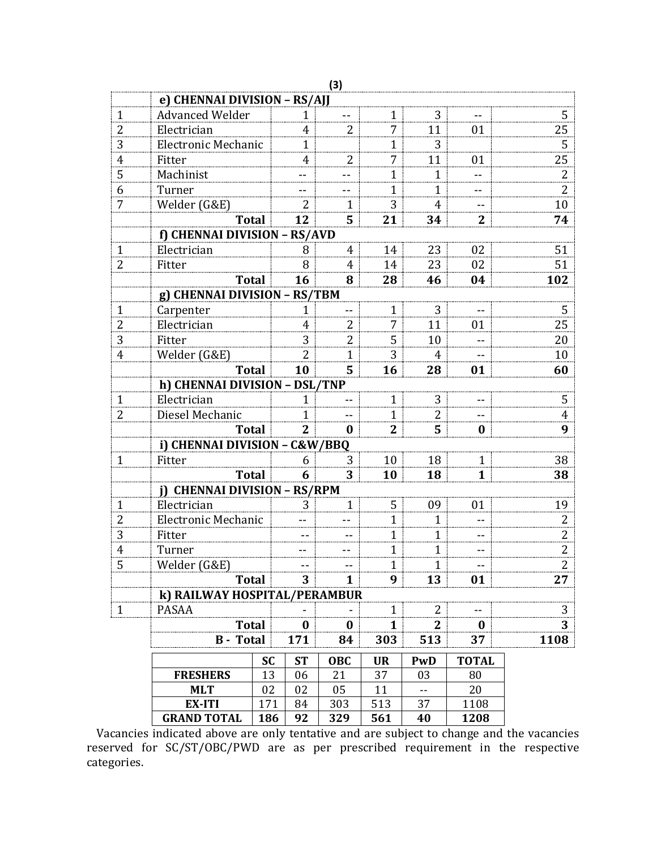|                |                               |           |                | (3)              |                |                          |                  |                |  |
|----------------|-------------------------------|-----------|----------------|------------------|----------------|--------------------------|------------------|----------------|--|
|                | e) CHENNAI DIVISION - RS/AJJ  |           |                |                  |                |                          |                  |                |  |
| 1              | <b>Advanced Welder</b>        |           | 1              |                  | 1              | 3                        |                  | 5              |  |
| $\overline{2}$ | Electrician                   |           | 4              | $\overline{2}$   | 7              | 11                       | 01               | 25             |  |
| 3              | <b>Electronic Mechanic</b>    |           | $\mathbf{1}$   |                  | 1              | 3                        |                  | 5              |  |
| 4              | Fitter                        |           | 4              | 2                | 7              | 11                       | 01               | 25             |  |
| 5              | Machinist                     |           |                |                  | $\mathbf{1}$   | 1                        |                  | $\overline{2}$ |  |
| 6              | Turner                        |           |                |                  | $\mathbf{1}$   | $\mathbf{1}$             |                  | 2              |  |
| 7              | Welder (G&E)                  |           | 2              | 1                | 3              | 4                        |                  | 10             |  |
|                | <b>Total</b>                  |           | 12             | 5                | 21             | 34                       | $\overline{2}$   | 74             |  |
|                | f) CHENNAI DIVISION - RS/AVD  |           |                |                  |                |                          |                  |                |  |
| 1              | Electrician                   |           | 8              | 4                | 14             | 23                       | 02               | 51             |  |
| $\overline{2}$ | Fitter                        |           | 8              | $\overline{4}$   | 14             | 23                       | 02               | 51             |  |
|                | <b>Total</b>                  |           | 16             | 8                | 28             | 46                       | 04               | 102            |  |
|                | g) CHENNAI DIVISION - RS/TBM  |           |                |                  |                |                          |                  |                |  |
| 1              | Carpenter                     |           | 1              |                  | 1              | 3                        |                  | 5              |  |
| 2              | Electrician                   |           | 4              | 2                | 7              | 11                       | 01               | 25             |  |
| 3              | Fitter                        |           | 3              | 2                | 5              | 10                       |                  | 20             |  |
| $\overline{4}$ | Welder (G&E)                  |           | $\overline{2}$ | $\mathbf{1}$     | 3              | $\overline{4}$           |                  | 10             |  |
|                | <b>Total</b>                  |           | 10             | 5                | 16             | 28                       | 01               | 60             |  |
|                | h) CHENNAI DIVISION - DSL/TNP |           |                |                  |                |                          |                  |                |  |
| 1              | Electrician                   |           | 1              |                  | 1              | 3                        |                  | 5              |  |
| 2              | Diesel Mechanic               |           | 1              |                  | $\mathbf{1}$   | 2                        | --               | 4              |  |
|                | <b>Total</b>                  |           | $\overline{2}$ | $\boldsymbol{0}$ | $\overline{2}$ | 5                        | $\bf{0}$         | 9              |  |
|                | i) CHENNAI DIVISION - C&W/BBQ |           |                |                  |                |                          |                  |                |  |
| $\mathbf{1}$   | Fitter                        |           | 6              | 3                | 10             | 18                       | $\mathbf{1}$     | 38             |  |
|                | <b>Total</b>                  |           | 6              | 3                | 10             | 18                       | $\mathbf{1}$     | 38             |  |
|                | i) CHENNAI DIVISION - RS/RPM  |           |                |                  |                |                          |                  |                |  |
| $\mathbf{1}$   | Electrician                   |           | 3              | $\mathbf{1}$     | 5              | 09                       | 01               | 19             |  |
| 2              | Electronic Mechanic           |           |                |                  | $\mathbf{1}$   | $\mathbf{1}$             |                  | 2              |  |
| 3              | Fitter                        |           |                |                  | $\mathbf{1}$   | $\mathbf{1}$             | --               | 2              |  |
| 4              | Turner                        |           |                |                  | $\mathbf{1}$   | 1                        |                  | 2              |  |
| 5              | Welder (G&E)                  |           |                |                  | 1              | 1                        | $-$              | 2              |  |
|                | <b>Total</b>                  |           | 3              | $\mathbf{1}$     | 9              | 13                       | 01               | 27             |  |
|                | k) RAILWAY HOSPITAL/PERAMBUR  |           |                |                  |                |                          |                  |                |  |
| $\mathbf{1}$   | PASAA                         |           |                |                  | 1              | 2                        |                  | 3              |  |
|                | <b>Total</b>                  |           | $\bf{0}$       | $\bf{0}$         | $\mathbf{1}$   | $\overline{2}$           | $\boldsymbol{0}$ | 3              |  |
|                | <b>B</b> - Total              |           | 171            | 84               | 303            | 513                      | 37               | 1108           |  |
|                |                               | <b>SC</b> | <b>ST</b>      | OBC              | <b>UR</b>      | <b>PwD</b>               | <b>TOTAL</b>     |                |  |
|                | <b>FRESHERS</b>               | 13        | 06             | 21               | 37             | 03                       | 80               |                |  |
|                | <b>MLT</b>                    | 02        | 02             | 05               | 11             | $\overline{\phantom{a}}$ | 20               |                |  |
|                | EX-ITI                        | 171       | 84             | 303              | 513            | 37                       | 1108             |                |  |
|                | <b>GRAND TOTAL</b>            | 186       | 92             | 329              | 561            | 40                       | 1208             |                |  |

Vacancies indicated above are only tentative and are subject to change and the vacancies reserved for SC/ST/OBC/PWD are as per prescribed requirement in the respective categories.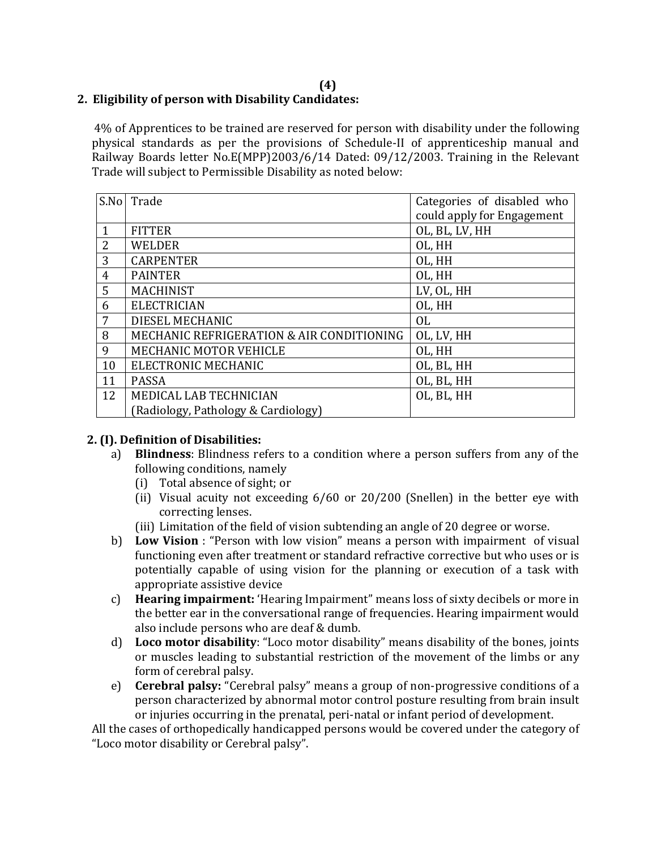#### **(4) 2. Eligibility of person with Disability Candidates:**

4% of Apprentices to be trained are reserved for person with disability under the following physical standards as per the provisions of Schedule-II of apprenticeship manual and Railway Boards letter No.E(MPP)2003/6/14 Dated: 09/12/2003. Training in the Relevant Trade will subject to Permissible Disability as noted below:

| S.No         | Trade                                     | Categories of disabled who<br>could apply for Engagement |
|--------------|-------------------------------------------|----------------------------------------------------------|
| $\mathbf{1}$ | <b>FITTER</b>                             | OL, BL, LV, HH                                           |
| 2            | <b>WELDER</b>                             | OL, HH                                                   |
| 3            | <b>CARPENTER</b>                          | OL, HH                                                   |
| 4            | <b>PAINTER</b>                            | OL, HH                                                   |
| 5            | <b>MACHINIST</b>                          | LV, OL, HH                                               |
| 6            | <b>ELECTRICIAN</b>                        | OL, HH                                                   |
| 7            | DIESEL MECHANIC                           | 0L                                                       |
| 8            | MECHANIC REFRIGERATION & AIR CONDITIONING | OL, LV, HH                                               |
| 9            | MECHANIC MOTOR VEHICLE                    | OL, HH                                                   |
| 10           | ELECTRONIC MECHANIC                       | OL, BL, HH                                               |
| 11           | <b>PASSA</b>                              | OL, BL, HH                                               |
| 12           | MEDICAL LAB TECHNICIAN                    | OL, BL, HH                                               |
|              | (Radiology, Pathology & Cardiology)       |                                                          |

## **2. (I). Definition of Disabilities:**

- a) **Blindness**: Blindness refers to a condition where a person suffers from any of the following conditions, namely
	- (i) Total absence of sight; or
	- (ii) Visual acuity not exceeding 6/60 or 20/200 (Snellen) in the better eye with correcting lenses.
	- (iii) Limitation of the field of vision subtending an angle of 20 degree or worse.
- b) **Low Vision** : "Person with low vision" means a person with impairment of visual functioning even after treatment or standard refractive corrective but who uses or is potentially capable of using vision for the planning or execution of a task with appropriate assistive device
- c) **Hearing impairment:** 'Hearing Impairment" means loss of sixty decibels or more in the better ear in the conversational range of frequencies. Hearing impairment would also include persons who are deaf & dumb.
- d) **Loco motor disability**: "Loco motor disability" means disability of the bones, joints or muscles leading to substantial restriction of the movement of the limbs or any form of cerebral palsy.
- e) **Cerebral palsy:** "Cerebral palsy" means a group of non-progressive conditions of a person characterized by abnormal motor control posture resulting from brain insult or injuries occurring in the prenatal, peri-natal or infant period of development.

All the cases of orthopedically handicapped persons would be covered under the category of "Loco motor disability or Cerebral palsy".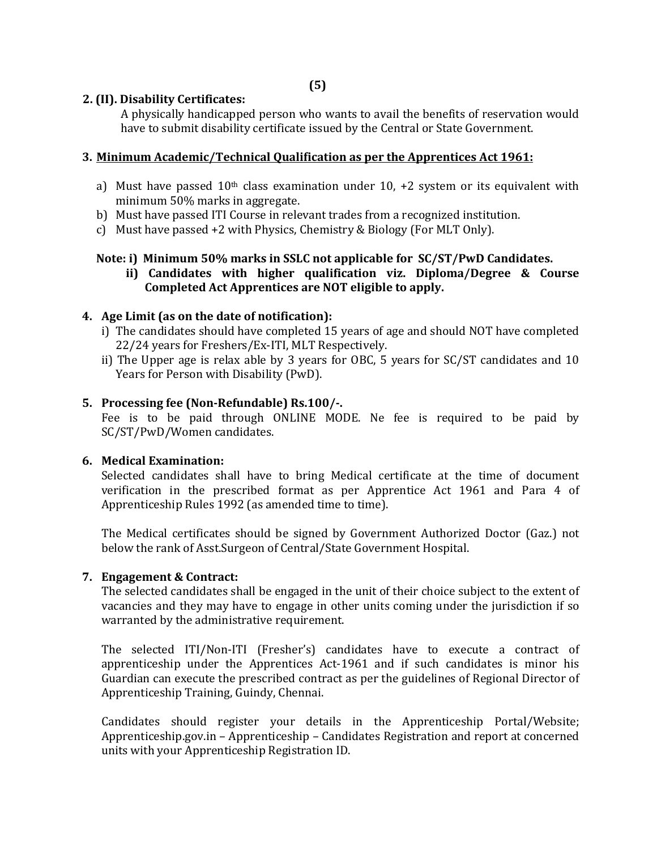#### **2. (II). Disability Certificates:**

A physically handicapped person who wants to avail the benefits of reservation would have to submit disability certificate issued by the Central or State Government.

#### **3. Minimum Academic/Technical Qualification as per the Apprentices Act 1961:**

- a) Must have passed  $10<sup>th</sup>$  class examination under 10, +2 system or its equivalent with minimum 50% marks in aggregate.
- b) Must have passed ITI Course in relevant trades from a recognized institution.
- c) Must have passed +2 with Physics, Chemistry & Biology (For MLT Only).

#### **Note: i) Minimum 50% marks in SSLC not applicable for SC/ST/PwD Candidates.**

 **ii) Candidates with higher qualification viz. Diploma/Degree & Course Completed Act Apprentices are NOT eligible to apply.**

#### **4. Age Limit (as on the date of notification):**

- i) The candidates should have completed 15 years of age and should NOT have completed 22/24 years for Freshers/Ex-ITI, MLT Respectively.
- ii) The Upper age is relax able by 3 years for OBC, 5 years for SC/ST candidates and 10 Years for Person with Disability (PwD).

#### **5. Processing fee (Non-Refundable) Rs.100/-.**

Fee is to be paid through ONLINE MODE. Ne fee is required to be paid by SC/ST/PwD/Women candidates.

#### **6. Medical Examination:**

Selected candidates shall have to bring Medical certificate at the time of document verification in the prescribed format as per Apprentice Act 1961 and Para 4 of Apprenticeship Rules 1992 (as amended time to time).

The Medical certificates should be signed by Government Authorized Doctor (Gaz.) not below the rank of Asst.Surgeon of Central/State Government Hospital.

#### **7. Engagement & Contract:**

The selected candidates shall be engaged in the unit of their choice subject to the extent of vacancies and they may have to engage in other units coming under the jurisdiction if so warranted by the administrative requirement.

The selected ITI/Non-ITI (Fresher's) candidates have to execute a contract of apprenticeship under the Apprentices Act-1961 and if such candidates is minor his Guardian can execute the prescribed contract as per the guidelines of Regional Director of Apprenticeship Training, Guindy, Chennai.

Candidates should register your details in the Apprenticeship Portal/Website; Apprenticeship.gov.in – Apprenticeship – Candidates Registration and report at concerned units with your Apprenticeship Registration ID.